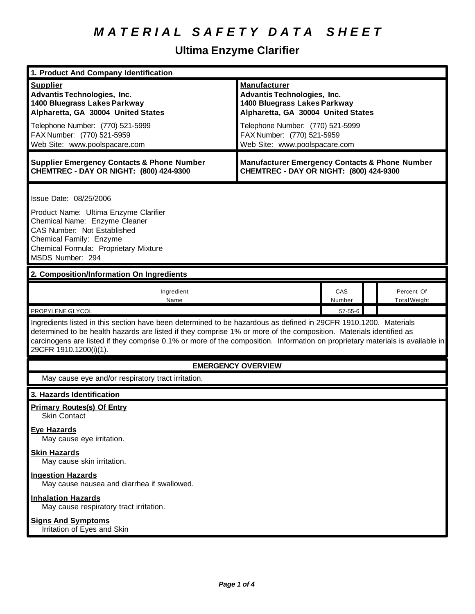# **Ultima Enzyme Clarifier**

| 1. Product And Company Identification                                                                                                                                                                                                                                                                                                                                                             |                                                                                                                                                                                                   |               |                                   |
|---------------------------------------------------------------------------------------------------------------------------------------------------------------------------------------------------------------------------------------------------------------------------------------------------------------------------------------------------------------------------------------------------|---------------------------------------------------------------------------------------------------------------------------------------------------------------------------------------------------|---------------|-----------------------------------|
| <b>Supplier</b><br><b>Advantis Technologies, Inc.</b><br>1400 Bluegrass Lakes Parkway<br>Alpharetta, GA 30004 United States<br>Telephone Number: (770) 521-5999<br>FAX Number: (770) 521-5959                                                                                                                                                                                                     | <b>Manufacturer</b><br><b>Advantis Technologies, Inc.</b><br>1400 Bluegrass Lakes Parkway<br>Alpharetta, GA 30004 United States<br>Telephone Number: (770) 521-5999<br>FAX Number: (770) 521-5959 |               |                                   |
| Web Site: www.poolspacare.com                                                                                                                                                                                                                                                                                                                                                                     | Web Site: www.poolspacare.com                                                                                                                                                                     |               |                                   |
| <b>Supplier Emergency Contacts &amp; Phone Number</b><br>CHEMTREC - DAY OR NIGHT: (800) 424-9300                                                                                                                                                                                                                                                                                                  | <b>Manufacturer Emergency Contacts &amp; Phone Number</b><br>CHEMTREC - DAY OR NIGHT: (800) 424-9300                                                                                              |               |                                   |
| Issue Date: 08/25/2006<br>Product Name: Ultima Enzyme Clarifier<br>Chemical Name: Enzyme Cleaner<br><b>CAS Number: Not Established</b><br>Chemical Family: Enzyme<br>Chemical Formula: Proprietary Mixture<br>MSDS Number: 294                                                                                                                                                                    |                                                                                                                                                                                                   |               |                                   |
| 2. Composition/Information On Ingredients                                                                                                                                                                                                                                                                                                                                                         |                                                                                                                                                                                                   |               |                                   |
| Ingredient<br>Name                                                                                                                                                                                                                                                                                                                                                                                |                                                                                                                                                                                                   | CAS<br>Number | Percent Of<br><b>Total Weight</b> |
| PROPYLENE GLYCOL                                                                                                                                                                                                                                                                                                                                                                                  |                                                                                                                                                                                                   | 57-55-6       |                                   |
| Ingredients listed in this section have been determined to be hazardous as defined in 29CFR 1910.1200. Materials<br>determined to be health hazards are listed if they comprise 1% or more of the composition. Materials identified as<br>carcinogens are listed if they comprise 0.1% or more of the composition. Information on proprietary materials is available in<br>29CFR 1910.1200(i)(1). |                                                                                                                                                                                                   |               |                                   |
| <b>EMERGENCY OVERVIEW</b>                                                                                                                                                                                                                                                                                                                                                                         |                                                                                                                                                                                                   |               |                                   |
| May cause eye and/or respiratory tract irritation.                                                                                                                                                                                                                                                                                                                                                |                                                                                                                                                                                                   |               |                                   |
| 3. Hazards Identification                                                                                                                                                                                                                                                                                                                                                                         |                                                                                                                                                                                                   |               |                                   |
| <b>Primary Routes(s) Of Entry</b><br><b>Skin Contact</b>                                                                                                                                                                                                                                                                                                                                          |                                                                                                                                                                                                   |               |                                   |
| <b>Eye Hazards</b><br>May cause eye irritation.                                                                                                                                                                                                                                                                                                                                                   |                                                                                                                                                                                                   |               |                                   |
| <b>Skin Hazards</b><br>May cause skin irritation.                                                                                                                                                                                                                                                                                                                                                 |                                                                                                                                                                                                   |               |                                   |
| <b>Ingestion Hazards</b><br>May cause nausea and diarrhea if swallowed.                                                                                                                                                                                                                                                                                                                           |                                                                                                                                                                                                   |               |                                   |
| <b>Inhalation Hazards</b><br>May cause respiratory tract irritation.                                                                                                                                                                                                                                                                                                                              |                                                                                                                                                                                                   |               |                                   |
| <b>Signs And Symptoms</b><br>Irritation of Eyes and Skin                                                                                                                                                                                                                                                                                                                                          |                                                                                                                                                                                                   |               |                                   |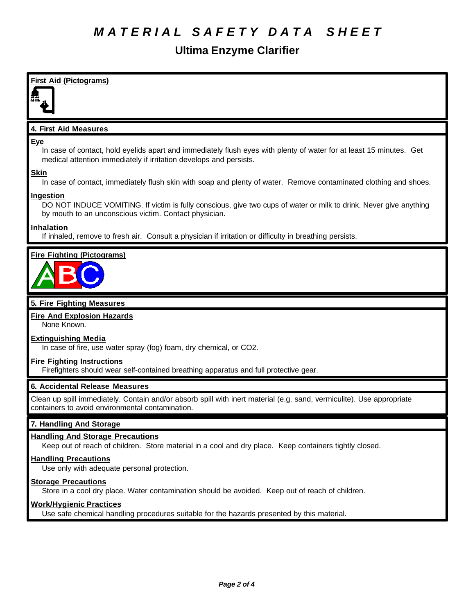# **Ultima Enzyme Clarifier**





## **5. Fire Fighting Measures**

## **Fire And Explosion Hazards**

None Known.

## **Extinguishing Media**

In case of fire, use water spray (fog) foam, dry chemical, or CO2.

#### **Fire Fighting Instructions**

Firefighters should wear self-contained breathing apparatus and full protective gear.

## **6. Accidental Release Measures**

Clean up spill immediately. Contain and/or absorb spill with inert material (e.g. sand, vermiculite). Use appropriate containers to avoid environmental contamination.

## **7. Handling And Storage**

## **Handling And Storage Precautions**

Keep out of reach of children. Store material in a cool and dry place. Keep containers tightly closed.

# **Handling Precautions**

Use only with adequate personal protection.

## **Storage Precautions**

Store in a cool dry place. Water contamination should be avoided. Keep out of reach of children.

#### **Work/Hygienic Practices**

Use safe chemical handling procedures suitable for the hazards presented by this material.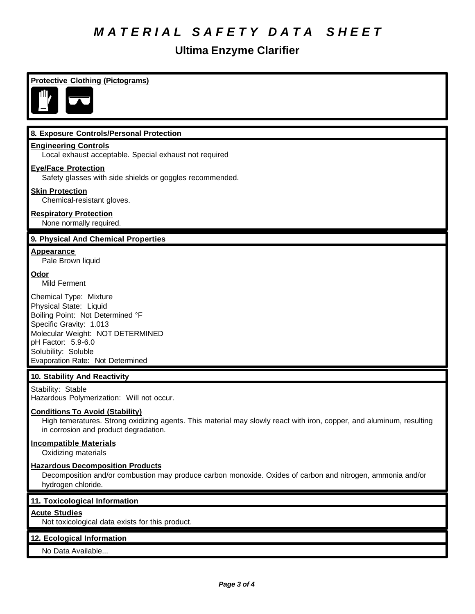# **Ultima Enzyme Clarifier**

# **8. Exposure Controls/Personal Protection Engineering Controls** Local exhaust acceptable. Special exhaust not required **Eye/Face Protection** Safety glasses with side shields or goggles recommended. **Skin Protection** Chemical-resistant gloves. **Respiratory Protection** None normally required. **9. Physical And Chemical Properties Appearance** Pale Brown liquid **Odor** Mild Ferment Chemical Type: Mixture

Physical State: Liquid Boiling Point: Not Determined °F Specific Gravity: 1.013 Molecular Weight: NOT DETERMINED pH Factor: 5.9-6.0 Solubility: Soluble Evaporation Rate: Not Determined

**Protective Clothing (Pictograms)**

## **10. Stability And Reactivity**

Stability: Stable Hazardous Polymerization: Will not occur.

#### **Conditions To Avoid (Stability)**

High temeratures. Strong oxidizing agents. This material may slowly react with iron, copper, and aluminum, resulting in corrosion and product degradation.

#### **Incompatible Materials**

Oxidizing materials

#### **Hazardous Decomposition Products**

Decomposition and/or combustion may produce carbon monoxide. Oxides of carbon and nitrogen, ammonia and/or hydrogen chloride.

#### **11. Toxicological Information**

## **Acute Studies**

Not toxicological data exists for this product.

## **12. Ecological Information**

No Data Available...